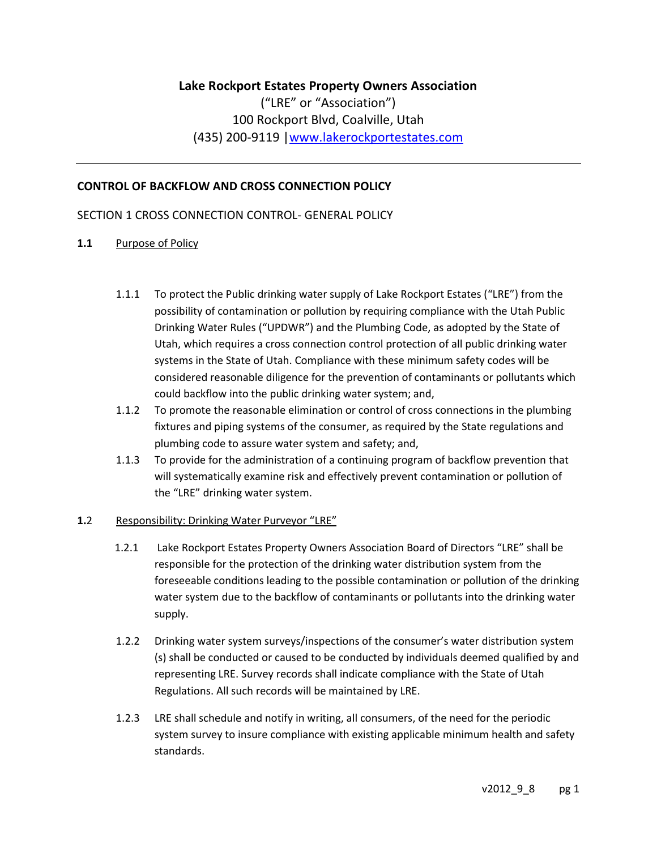### **CONTROL OF BACKFLOW AND CROSS CONNECTION POLICY**

### SECTION 1 CROSS CONNECTION CONTROL- GENERAL POLICY

#### **1.1** Purpose of Policy

- 1.1.1 To protect the Public drinking water supply of Lake Rockport Estates ("LRE") from the possibility of contamination or pollution by requiring compliance with the Utah Public Drinking Water Rules ("UPDWR") and the Plumbing Code, as adopted by the State of Utah, which requires a cross connection control protection of all public drinking water systems in the State of Utah. Compliance with these minimum safety codes will be considered reasonable diligence for the prevention of contaminants or pollutants which could backflow into the public drinking water system; and,
- 1.1.2 To promote the reasonable elimination or control of cross connections in the plumbing fixtures and piping systems of the consumer, as required by the State regulations and plumbing code to assure water system and safety; and,
- 1.1.3 To provide for the administration of a continuing program of backflow prevention that will systematically examine risk and effectively prevent contamination or pollution of the "LRE" drinking water system.

#### **1.**2 Responsibility: Drinking Water Purveyor "LRE"

- 1.2.1 Lake Rockport Estates Property Owners Association Board of Directors "LRE" shall be responsible for the protection of the drinking water distribution system from the foreseeable conditions leading to the possible contamination or pollution of the drinking water system due to the backflow of contaminants or pollutants into the drinking water supply.
- 1.2.2 Drinking water system surveys/inspections of the consumer's water distribution system (s) shall be conducted or caused to be conducted by individuals deemed qualified by and representing LRE. Survey records shall indicate compliance with the State of Utah Regulations. All such records will be maintained by LRE.
- 1.2.3 LRE shall schedule and notify in writing, all consumers, of the need for the periodic system survey to insure compliance with existing applicable minimum health and safety standards.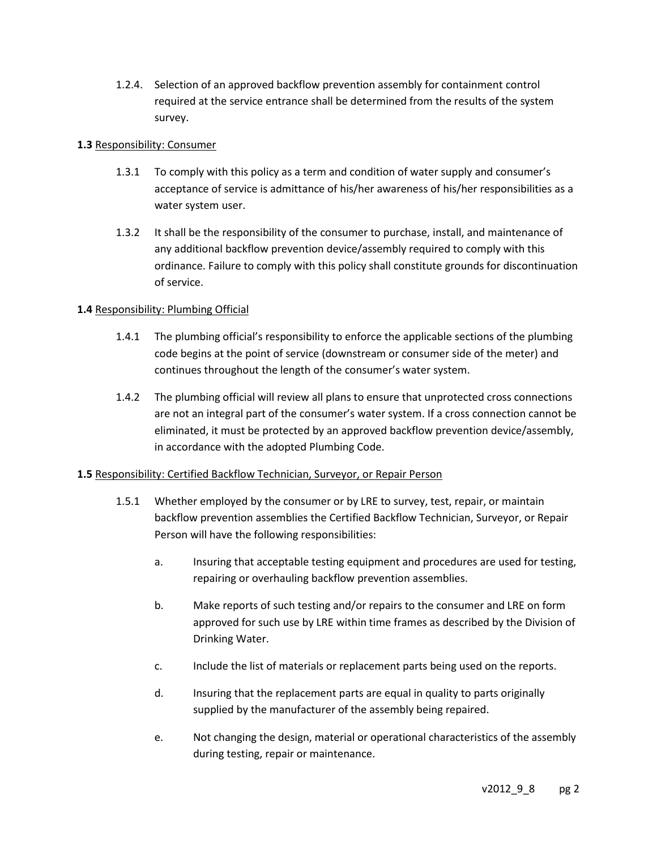1.2.4. Selection of an approved backflow prevention assembly for containment control required at the service entrance shall be determined from the results of the system survey.

## **1.3** Responsibility: Consumer

- 1.3.1 To comply with this policy as a term and condition of water supply and consumer's acceptance of service is admittance of his/her awareness of his/her responsibilities as a water system user.
- 1.3.2 It shall be the responsibility of the consumer to purchase, install, and maintenance of any additional backflow prevention device/assembly required to comply with this ordinance. Failure to comply with this policy shall constitute grounds for discontinuation of service.

## **1.4** Responsibility: Plumbing Official

- 1.4.1 The plumbing official's responsibility to enforce the applicable sections of the plumbing code begins at the point of service (downstream or consumer side of the meter) and continues throughout the length of the consumer's water system.
- 1.4.2 The plumbing official will review all plans to ensure that unprotected cross connections are not an integral part of the consumer's water system. If a cross connection cannot be eliminated, it must be protected by an approved backflow prevention device/assembly, in accordance with the adopted Plumbing Code.

# **1.5** Responsibility: Certified Backflow Technician, Surveyor, or Repair Person

- 1.5.1 Whether employed by the consumer or by LRE to survey, test, repair, or maintain backflow prevention assemblies the Certified Backflow Technician, Surveyor, or Repair Person will have the following responsibilities:
	- a. Insuring that acceptable testing equipment and procedures are used for testing, repairing or overhauling backflow prevention assemblies.
	- b. Make reports of such testing and/or repairs to the consumer and LRE on form approved for such use by LRE within time frames as described by the Division of Drinking Water.
	- c. Include the list of materials or replacement parts being used on the reports.
	- d. Insuring that the replacement parts are equal in quality to parts originally supplied by the manufacturer of the assembly being repaired.
	- e. Not changing the design, material or operational characteristics of the assembly during testing, repair or maintenance.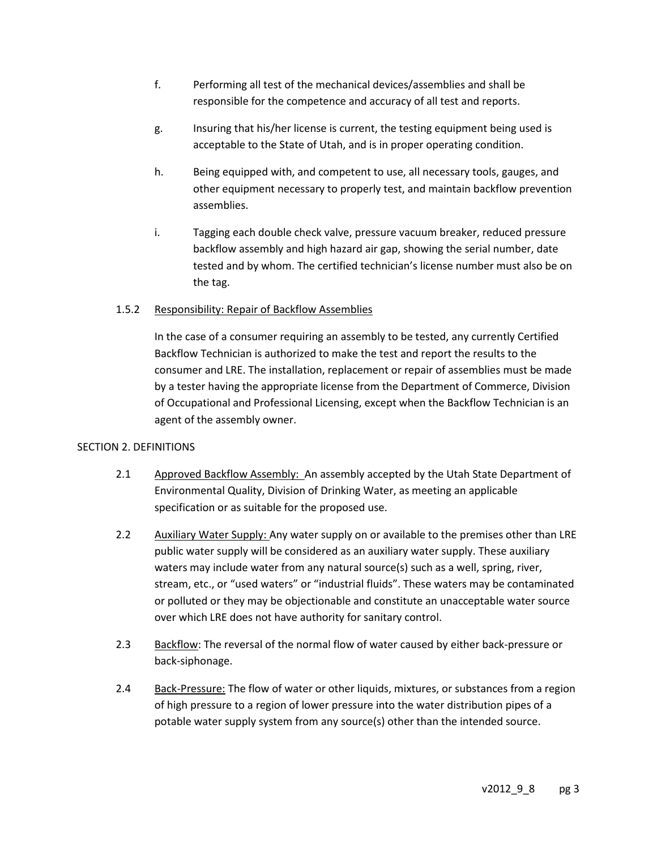- f. Performing all test of the mechanical devices/assemblies and shall be responsible for the competence and accuracy of all test and reports.
- g. Insuring that his/her license is current, the testing equipment being used is acceptable to the State of Utah, and is in proper operating condition.
- h. Being equipped with, and competent to use, all necessary tools, gauges, and other equipment necessary to properly test, and maintain backflow prevention assemblies.
- i. Tagging each double check valve, pressure vacuum breaker, reduced pressure backflow assembly and high hazard air gap, showing the serial number, date tested and by whom. The certified technician's license number must also be on the tag.

# 1.5.2 Responsibility: Repair of Backflow Assemblies

In the case of a consumer requiring an assembly to be tested, any currently Certified Backflow Technician is authorized to make the test and report the results to the consumer and LRE. The installation, replacement or repair of assemblies must be made by a tester having the appropriate license from the Department of Commerce, Division of Occupational and Professional Licensing, except when the Backflow Technician is an agent of the assembly owner.

# SECTION 2. DEFINITIONS

- 2.1 Approved Backflow Assembly: An assembly accepted by the Utah State Department of Environmental Quality, Division of Drinking Water, as meeting an applicable specification or as suitable for the proposed use.
- 2.2 Auxiliary Water Supply: Any water supply on or available to the premises other than LRE public water supply will be considered as an auxiliary water supply. These auxiliary waters may include water from any natural source(s) such as a well, spring, river, stream, etc., or "used waters" or "industrial fluids". These waters may be contaminated or polluted or they may be objectionable and constitute an unacceptable water source over which LRE does not have authority for sanitary control.
- 2.3 Backflow: The reversal of the normal flow of water caused by either back-pressure or back-siphonage.
- 2.4 Back-Pressure: The flow of water or other liquids, mixtures, or substances from a region of high pressure to a region of lower pressure into the water distribution pipes of a potable water supply system from any source(s) other than the intended source.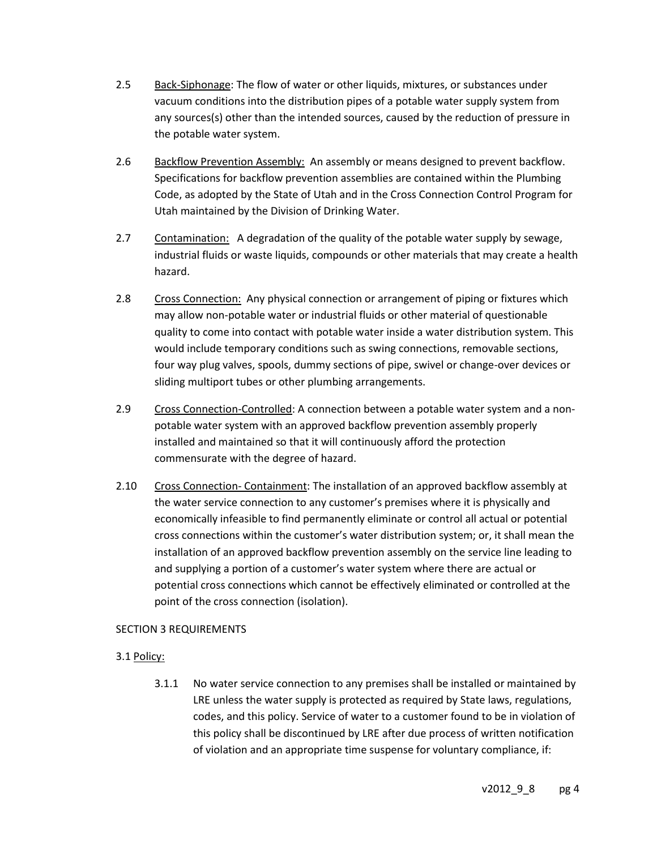- 2.5 Back-Siphonage: The flow of water or other liquids, mixtures, or substances under vacuum conditions into the distribution pipes of a potable water supply system from any sources(s) other than the intended sources, caused by the reduction of pressure in the potable water system.
- 2.6 Backflow Prevention Assembly: An assembly or means designed to prevent backflow. Specifications for backflow prevention assemblies are contained within the Plumbing Code, as adopted by the State of Utah and in the Cross Connection Control Program for Utah maintained by the Division of Drinking Water.
- 2.7 Contamination: A degradation of the quality of the potable water supply by sewage, industrial fluids or waste liquids, compounds or other materials that may create a health hazard.
- 2.8 Cross Connection: Any physical connection or arrangement of piping or fixtures which may allow non-potable water or industrial fluids or other material of questionable quality to come into contact with potable water inside a water distribution system. This would include temporary conditions such as swing connections, removable sections, four way plug valves, spools, dummy sections of pipe, swivel or change-over devices or sliding multiport tubes or other plumbing arrangements.
- 2.9 Cross Connection-Controlled: A connection between a potable water system and a nonpotable water system with an approved backflow prevention assembly properly installed and maintained so that it will continuously afford the protection commensurate with the degree of hazard.
- 2.10 Cross Connection- Containment: The installation of an approved backflow assembly at the water service connection to any customer's premises where it is physically and economically infeasible to find permanently eliminate or control all actual or potential cross connections within the customer's water distribution system; or, it shall mean the installation of an approved backflow prevention assembly on the service line leading to and supplying a portion of a customer's water system where there are actual or potential cross connections which cannot be effectively eliminated or controlled at the point of the cross connection (isolation).

### SECTION 3 REQUIREMENTS

### 3.1 Policy:

3.1.1 No water service connection to any premises shall be installed or maintained by LRE unless the water supply is protected as required by State laws, regulations, codes, and this policy. Service of water to a customer found to be in violation of this policy shall be discontinued by LRE after due process of written notification of violation and an appropriate time suspense for voluntary compliance, if: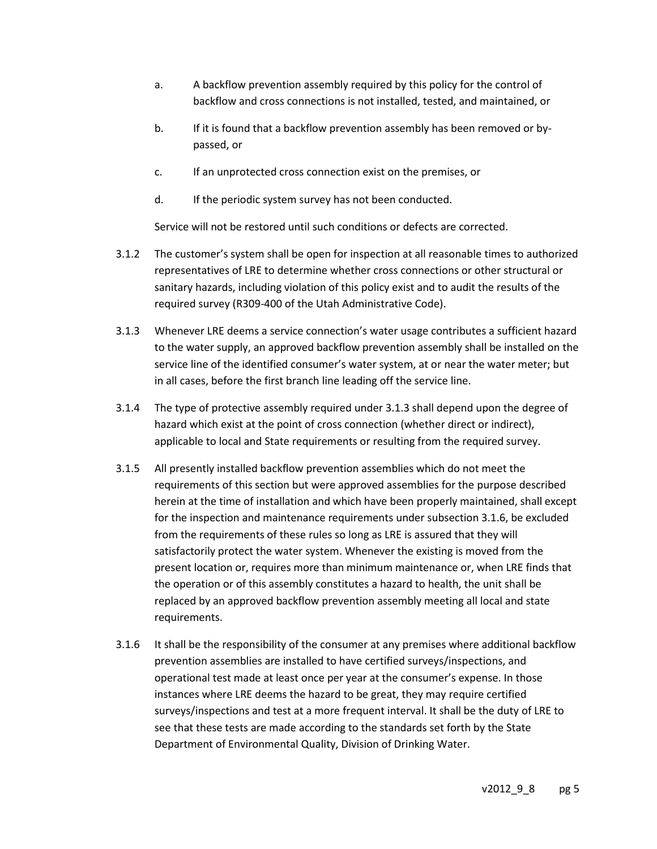- a. A backflow prevention assembly required by this policy for the control of backflow and cross connections is not installed, tested, and maintained, or
- b. If it is found that a backflow prevention assembly has been removed or bypassed, or
- c. If an unprotected cross connection exist on the premises, or
- d. If the periodic system survey has not been conducted.

Service will not be restored until such conditions or defects are corrected.

- 3.1.2 The customer's system shall be open for inspection at all reasonable times to authorized representatives of LRE to determine whether cross connections or other structural or sanitary hazards, including violation of this policy exist and to audit the results of the required survey (R309-400 of the Utah Administrative Code).
- 3.1.3 Whenever LRE deems a service connection's water usage contributes a sufficient hazard to the water supply, an approved backflow prevention assembly shall be installed on the service line of the identified consumer's water system, at or near the water meter; but in all cases, before the first branch line leading off the service line.
- 3.1.4 The type of protective assembly required under 3.1.3 shall depend upon the degree of hazard which exist at the point of cross connection (whether direct or indirect), applicable to local and State requirements or resulting from the required survey.
- 3.1.5 All presently installed backflow prevention assemblies which do not meet the requirements of this section but were approved assemblies for the purpose described herein at the time of installation and which have been properly maintained, shall except for the inspection and maintenance requirements under subsection 3.1.6, be excluded from the requirements of these rules so long as LRE is assured that they will satisfactorily protect the water system. Whenever the existing is moved from the present location or, requires more than minimum maintenance or, when LRE finds that the operation or of this assembly constitutes a hazard to health, the unit shall be replaced by an approved backflow prevention assembly meeting all local and state requirements.
- 3.1.6 It shall be the responsibility of the consumer at any premises where additional backflow prevention assemblies are installed to have certified surveys/inspections, and operational test made at least once per year at the consumer's expense. In those instances where LRE deems the hazard to be great, they may require certified surveys/inspections and test at a more frequent interval. It shall be the duty of LRE to see that these tests are made according to the standards set forth by the State Department of Environmental Quality, Division of Drinking Water.